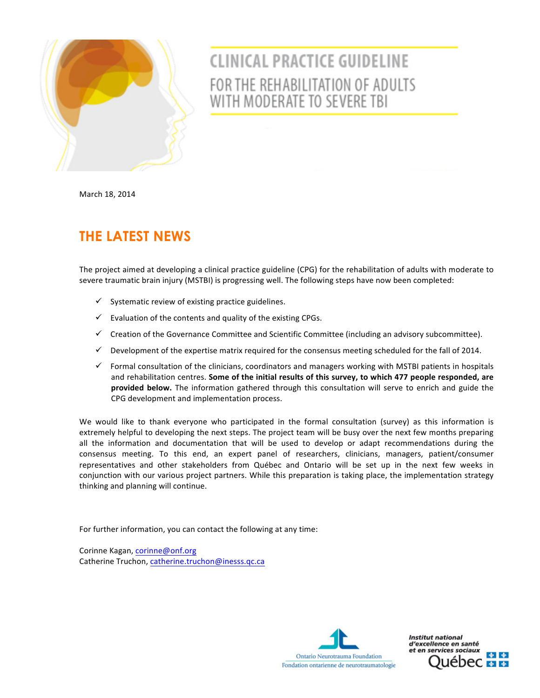

## **CLINICAL PRACTICE GUIDELINE** FOR THE REHABILITATION OF ADULTS WITH MODERATE TO SEVERE TBI

March 18, 2014

## **THE LATEST NEWS**

The project aimed at developing a clinical practice guideline (CPG) for the rehabilitation of adults with moderate to severe traumatic brain injury (MSTBI) is progressing well. The following steps have now been completed:

- $\checkmark$  Systematic review of existing practice guidelines.
- $\checkmark$  Evaluation of the contents and quality of the existing CPGs.
- $\checkmark$  Creation of the Governance Committee and Scientific Committee (including an advisory subcommittee).
- $\checkmark$  Development of the expertise matrix required for the consensus meeting scheduled for the fall of 2014.
- $\checkmark$  Formal consultation of the clinicians, coordinators and managers working with MSTBI patients in hospitals and rehabilitation centres. Some of the initial results of this survey, to which 477 people responded, are provided below. The information gathered through this consultation will serve to enrich and guide the CPG development and implementation process.

We would like to thank everyone who participated in the formal consultation (survey) as this information is extremely helpful to developing the next steps. The project team will be busy over the next few months preparing all the information and documentation that will be used to develop or adapt recommendations during the consensus meeting. To this end, an expert panel of researchers, clinicians, managers, patient/consumer representatives and other stakeholders from Québec and Ontario will be set up in the next few weeks in conjunction with our various project partners. While this preparation is taking place, the implementation strategy thinking and planning will continue.

For further information, you can contact the following at any time:

Corinne Kagan, corinne@onf.org Catherine Truchon, catherine.truchon@inesss.qc.ca



**Institut national** d'excellence en santé et en services sociaux  $\frac{1}{2}$   $\frac{1}{2}$ iébe